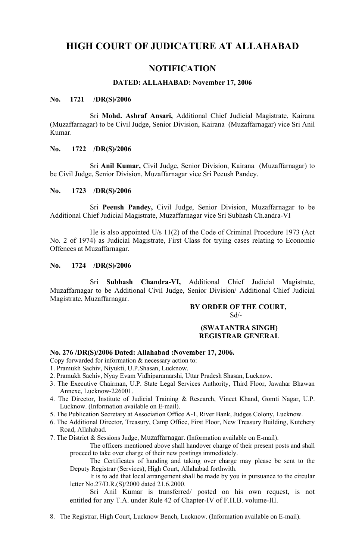# **HIGH COURT OF JUDICATURE AT ALLAHABAD**

# **NOTIFICATION**

## **DATED: ALLAHABAD: November 17, 2006**

## **No. 1721 /DR(S)/2006**

Sri **Mohd. Ashraf Ansari,** Additional Chief Judicial Magistrate, Kairana (Muzaffarnagar) to be Civil Judge, Senior Division, Kairana (Muzaffarnagar) vice Sri Anil Kumar.

#### **No. 1722 /DR(S)/2006**

Sri **Anil Kumar,** Civil Judge, Senior Division, Kairana (Muzaffarnagar) to be Civil Judge, Senior Division, Muzaffarnagar vice Sri Peeush Pandey.

#### **No. 1723 /DR(S)/2006**

Sri **Peeush Pandey,** Civil Judge, Senior Division, Muzaffarnagar to be Additional Chief Judicial Magistrate, Muzaffarnagar vice Sri Subhash Ch.andra-VI

He is also appointed U/s 11(2) of the Code of Criminal Procedure 1973 (Act No. 2 of 1974) as Judicial Magistrate, First Class for trying cases relating to Economic Offences at Muzaffarnagar.

#### **No. 1724 /DR(S)/2006**

Sri **Subhash Chandra-VI,** Additional Chief Judicial Magistrate, Muzaffarnagar to be Additional Civil Judge, Senior Division/ Additional Chief Judicial Magistrate, Muzaffarnagar.

#### **BY ORDER OF THE COURT,**

 $Sd$ <sup>-</sup>

#### **(SWATANTRA SINGH) REGISTRAR GENERAL**

#### **No. 276 /DR(S)/2006 Dated: Allahabad :November 17, 2006.**

- Copy forwarded for information & necessary action to:
- 1. Pramukh Sachiv, Niyukti, U.P.Shasan, Lucknow.
- 2. Pramukh Sachiv, Nyay Evam Vidhiparamarshi, Uttar Pradesh Shasan, Lucknow.
- 3. The Executive Chairman, U.P. State Legal Services Authority, Third Floor, Jawahar Bhawan Annexe, Lucknow-226001.
- 4. The Director, Institute of Judicial Training & Research, Vineet Khand, Gomti Nagar, U.P. Lucknow. (Information available on E-mail).
- 5. The Publication Secretary at Association Office A-1, River Bank, Judges Colony, Lucknow.
- 6. The Additional Director, Treasury, Camp Office, First Floor, New Treasury Building, Kutchery Road, Allahabad.
- 7. The District & Sessions Judge, Muzaffarnagar. (Information available on E-mail).

The officers mentioned above shall handover charge of their present posts and shall proceed to take over charge of their new postings immediately.

The Certificates of handing and taking over charge may please be sent to the Deputy Registrar (Services), High Court, Allahabad forthwith.

It is to add that local arrangement shall be made by you in pursuance to the circular letter No.27/D.R.(S)/2000 dated 21.6.2000.

Sri Anil Kumar is transferred/ posted on his own request, is not entitled for any T.A. under Rule 42 of Chapter-IV of F.H.B. volume-III.

8. The Registrar, High Court, Lucknow Bench, Lucknow. (Information available on E-mail).